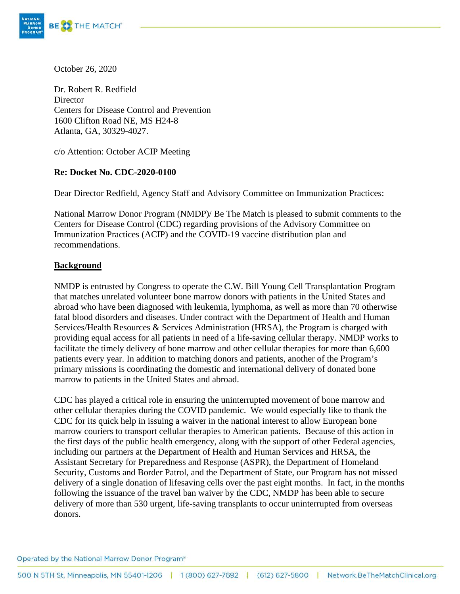

October 26, 2020

Dr. Robert R. Redfield **Director** Centers for Disease Control and Prevention 1600 Clifton Road NE, MS H24-8 Atlanta, GA, 30329-4027.

c/o Attention: October ACIP Meeting

## **Re: Docket No. CDC-2020-0100**

Dear Director Redfield, Agency Staff and Advisory Committee on Immunization Practices:

National Marrow Donor Program (NMDP)/ Be The Match is pleased to submit comments to the Centers for Disease Control (CDC) regarding provisions of the Advisory Committee on Immunization Practices (ACIP) and the COVID-19 vaccine distribution plan and recommendations.

## **Background**

NMDP is entrusted by Congress to operate the C.W. Bill Young Cell Transplantation Program that matches unrelated volunteer bone marrow donors with patients in the United States and abroad who have been diagnosed with leukemia, lymphoma, as well as more than 70 otherwise fatal blood disorders and diseases. Under contract with the Department of Health and Human Services/Health Resources & Services Administration (HRSA), the Program is charged with providing equal access for all patients in need of a life-saving cellular therapy. NMDP works to facilitate the timely delivery of bone marrow and other cellular therapies for more than 6,600 patients every year. In addition to matching donors and patients, another of the Program's primary missions is coordinating the domestic and international delivery of donated bone marrow to patients in the United States and abroad.

CDC has played a critical role in ensuring the uninterrupted movement of bone marrow and other cellular therapies during the COVID pandemic. We would especially like to thank the CDC for its quick help in issuing a waiver in the national interest to allow European bone marrow couriers to transport cellular therapies to American patients. Because of this action in the first days of the public health emergency, along with the support of other Federal agencies, including our partners at the Department of Health and Human Services and HRSA, the Assistant Secretary for Preparedness and Response (ASPR), the Department of Homeland Security, Customs and Border Patrol, and the Department of State, our Program has not missed delivery of a single donation of lifesaving cells over the past eight months. In fact, in the months following the issuance of the travel ban waiver by the CDC, NMDP has been able to secure delivery of more than 530 urgent, life-saving transplants to occur uninterrupted from overseas donors.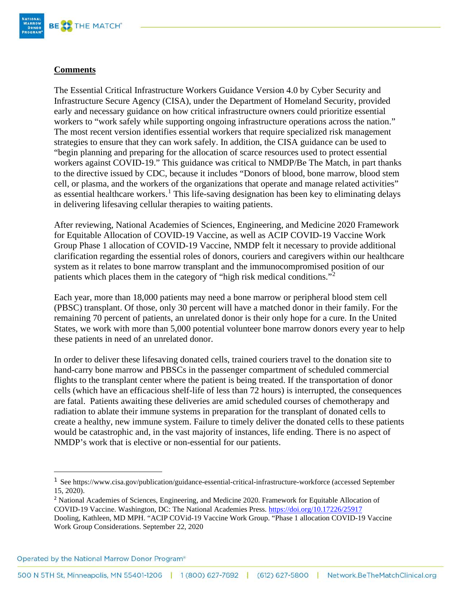

## **Comments**

The Essential Critical Infrastructure Workers Guidance Version 4.0 by Cyber Security and Infrastructure Secure Agency (CISA), under the Department of Homeland Security, provided early and necessary guidance on how critical infrastructure owners could prioritize essential workers to "work safely while supporting ongoing infrastructure operations across the nation." The most recent version identifies essential workers that require specialized risk management strategies to ensure that they can work safely. In addition, the CISA guidance can be used to "begin planning and preparing for the allocation of scarce resources used to protect essential workers against COVID-19." This guidance was critical to NMDP/Be The Match, in part thanks to the directive issued by CDC, because it includes "Donors of blood, bone marrow, blood stem cell, or plasma, and the workers of the organizations that operate and manage related activities" as essential healthcare workers.<sup>[1](#page-1-0)</sup> This life-saving designation has been key to eliminating delays in delivering lifesaving cellular therapies to waiting patients.

After reviewing, National Academies of Sciences, Engineering, and Medicine 2020 Framework for Equitable Allocation of COVID-19 Vaccine, as well as ACIP COVID-19 Vaccine Work Group Phase 1 allocation of COVID-19 Vaccine, NMDP felt it necessary to provide additional clarification regarding the essential roles of donors, couriers and caregivers within our healthcare system as it relates to bone marrow transplant and the immunocompromised position of our patients which places them in the category of "high risk medical conditions."[2](#page-1-1)

Each year, more than 18,000 patients may need a bone marrow or peripheral blood stem cell (PBSC) transplant. Of those, only 30 percent will have a matched donor in their family. For the remaining 70 percent of patients, an unrelated donor is their only hope for a cure. In the United States, we work with more than 5,000 potential volunteer bone marrow donors every year to help these patients in need of an unrelated donor.

In order to deliver these lifesaving donated cells, trained couriers travel to the donation site to hand-carry bone marrow and PBSCs in the passenger compartment of scheduled commercial flights to the transplant center where the patient is being treated. If the transportation of donor cells (which have an efficacious shelf-life of less than 72 hours) is interrupted, the consequences are fatal. Patients awaiting these deliveries are amid scheduled courses of chemotherapy and radiation to ablate their immune systems in preparation for the transplant of donated cells to create a healthy, new immune system. Failure to timely deliver the donated cells to these patients would be catastrophic and, in the vast majority of instances, life ending. There is no aspect of NMDP's work that is elective or non-essential for our patients.

Operated by the National Marrow Donor Program®

<span id="page-1-0"></span><sup>1</sup> See https://www.cisa.gov/publication/guidance-essential-critical-infrastructure-workforce (accessed September 15, 2020).

<span id="page-1-1"></span><sup>&</sup>lt;sup>2</sup> National Academies of Sciences, Engineering, and Medicine 2020. Framework for Equitable Allocation of COVID-19 Vaccine. Washington, DC: The National Academies Press.<https://doi.org/10.17226/25917> Dooling, Kathleen, MD MPH. "ACIP COVid-19 Vaccine Work Group. "Phase 1 allocation COVID-19 Vaccine Work Group Considerations. September 22, 2020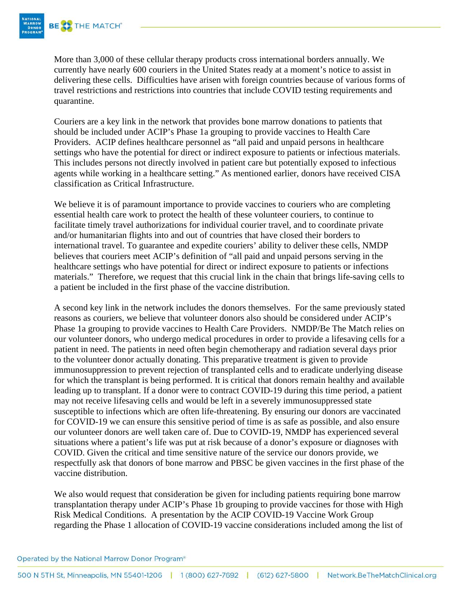

More than 3,000 of these cellular therapy products cross international borders annually. We currently have nearly 600 couriers in the United States ready at a moment's notice to assist in delivering these cells. Difficulties have arisen with foreign countries because of various forms of travel restrictions and restrictions into countries that include COVID testing requirements and quarantine.

Couriers are a key link in the network that provides bone marrow donations to patients that should be included under ACIP's Phase 1a grouping to provide vaccines to Health Care Providers. ACIP defines healthcare personnel as "all paid and unpaid persons in healthcare settings who have the potential for direct or indirect exposure to patients or infectious materials. This includes persons not directly involved in patient care but potentially exposed to infectious agents while working in a healthcare setting." As mentioned earlier, donors have received CISA classification as Critical Infrastructure.

We believe it is of paramount importance to provide vaccines to couriers who are completing essential health care work to protect the health of these volunteer couriers, to continue to facilitate timely travel authorizations for individual courier travel, and to coordinate private and/or humanitarian flights into and out of countries that have closed their borders to international travel. To guarantee and expedite couriers' ability to deliver these cells, NMDP believes that couriers meet ACIP's definition of "all paid and unpaid persons serving in the healthcare settings who have potential for direct or indirect exposure to patients or infections materials." Therefore, we request that this crucial link in the chain that brings life-saving cells to a patient be included in the first phase of the vaccine distribution.

A second key link in the network includes the donors themselves. For the same previously stated reasons as couriers, we believe that volunteer donors also should be considered under ACIP's Phase 1a grouping to provide vaccines to Health Care Providers. NMDP/Be The Match relies on our volunteer donors, who undergo medical procedures in order to provide a lifesaving cells for a patient in need. The patients in need often begin chemotherapy and radiation several days prior to the volunteer donor actually donating. This preparative treatment is given to provide immunosuppression to prevent rejection of transplanted cells and to eradicate underlying disease for which the transplant is being performed. It is critical that donors remain healthy and available leading up to transplant. If a donor were to contract COVID-19 during this time period, a patient may not receive lifesaving cells and would be left in a severely immunosuppressed state susceptible to infections which are often life-threatening. By ensuring our donors are vaccinated for COVID-19 we can ensure this sensitive period of time is as safe as possible, and also ensure our volunteer donors are well taken care of. Due to COVID-19, NMDP has experienced several situations where a patient's life was put at risk because of a donor's exposure or diagnoses with COVID. Given the critical and time sensitive nature of the service our donors provide, we respectfully ask that donors of bone marrow and PBSC be given vaccines in the first phase of the vaccine distribution.

We also would request that consideration be given for including patients requiring bone marrow transplantation therapy under ACIP's Phase 1b grouping to provide vaccines for those with High Risk Medical Conditions. A presentation by the ACIP COVID-19 Vaccine Work Group regarding the Phase 1 allocation of COVID-19 vaccine considerations included among the list of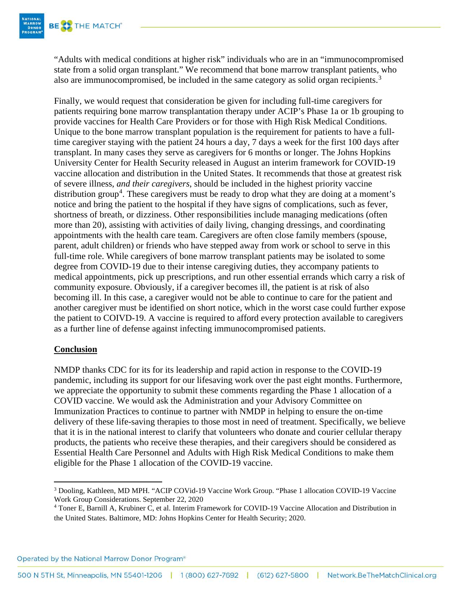

"Adults with medical conditions at higher risk" individuals who are in an "immunocompromised state from a solid organ transplant." We recommend that bone marrow transplant patients, who also are immunocompromised, be included in the same category as solid organ recipients.<sup>[3](#page-3-0)</sup>

Finally, we would request that consideration be given for including full-time caregivers for patients requiring bone marrow transplantation therapy under ACIP's Phase 1a or 1b grouping to provide vaccines for Health Care Providers or for those with High Risk Medical Conditions. Unique to the bone marrow transplant population is the requirement for patients to have a fulltime caregiver staying with the patient 24 hours a day, 7 days a week for the first 100 days after transplant. In many cases they serve as caregivers for 6 months or longer. The Johns Hopkins University Center for Health Security released in August an interim framework for COVID-19 vaccine allocation and distribution in the United States. It recommends that those at greatest risk of severe illness, *and their caregivers*, should be included in the highest priority vaccine distribution group<sup>[4](#page-3-1)</sup>. These caregivers must be ready to drop what they are doing at a moment's notice and bring the patient to the hospital if they have signs of complications, such as fever, shortness of breath, or dizziness. Other responsibilities include managing medications (often more than 20), assisting with activities of daily living, changing dressings, and coordinating appointments with the health care team. Caregivers are often close family members (spouse, parent, adult children) or friends who have stepped away from work or school to serve in this full-time role. While caregivers of bone marrow transplant patients may be isolated to some degree from COVID-19 due to their intense caregiving duties, they accompany patients to medical appointments, pick up prescriptions, and run other essential errands which carry a risk of community exposure. Obviously, if a caregiver becomes ill, the patient is at risk of also becoming ill. In this case, a caregiver would not be able to continue to care for the patient and another caregiver must be identified on short notice, which in the worst case could further expose the patient to COIVD-19. A vaccine is required to afford every protection available to caregivers as a further line of defense against infecting immunocompromised patients.

## **Conclusion**

NMDP thanks CDC for its for its leadership and rapid action in response to the COVID-19 pandemic, including its support for our lifesaving work over the past eight months. Furthermore, we appreciate the opportunity to submit these comments regarding the Phase 1 allocation of a COVID vaccine. We would ask the Administration and your Advisory Committee on Immunization Practices to continue to partner with NMDP in helping to ensure the on-time delivery of these life-saving therapies to those most in need of treatment. Specifically, we believe that it is in the national interest to clarify that volunteers who donate and courier cellular therapy products, the patients who receive these therapies, and their caregivers should be considered as Essential Health Care Personnel and Adults with High Risk Medical Conditions to make them eligible for the Phase 1 allocation of the COVID-19 vaccine.

Operated by the National Marrow Donor Program®

<span id="page-3-0"></span><sup>3</sup> Dooling, Kathleen, MD MPH. "ACIP COVid-19 Vaccine Work Group. "Phase 1 allocation COVID-19 Vaccine Work Group Considerations. September 22, 2020

<span id="page-3-1"></span><sup>4</sup> Toner E, Barnill A, Krubiner C, et al. Interim Framework for COVID-19 Vaccine Allocation and Distribution in the United States. Baltimore, MD: Johns Hopkins Center for Health Security; 2020.